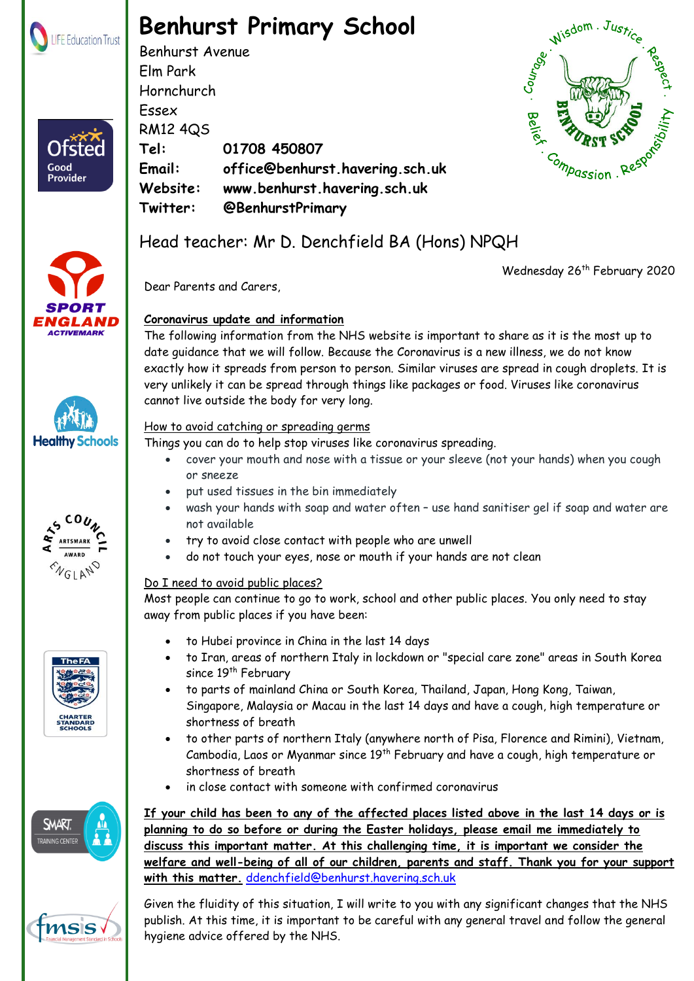

Ofster

Good **Provider** 

# **Benhurst Primary School**

Benhurst Avenue Elm Park Hornchurch Essex RM12 4QS **Tel: 01708 450807 Email: office@benhurst.havering.sch.uk Website: www.benhurst.havering.sch.uk Twitter: @BenhurstPrimary**



## Head teacher: Mr D. Denchfield BA (Hons) NPQH

Wednesday 26<sup>th</sup> February 2020













### How to avoid catching or spreading germs

cannot live outside the body for very long.

**Coronavirus update and information**

Dear Parents and Carers,

Things you can do to help stop viruses like coronavirus spreading.

 cover your mouth and nose with a tissue or your sleeve (not your hands) when you cough or sneeze

The following information from the NHS website is important to share as it is the most up to date guidance that we will follow. Because the Coronavirus is a new illness, we do not know

exactly how it spreads from person to person. Similar viruses are spread in cough droplets. It is very unlikely it can be spread through things like packages or food. Viruses like coronavirus

- put used tissues in the bin immediately
- wash your hands with soap and water often use hand sanitiser gel if soap and water are not available
- try to avoid close contact with people who are unwell
- do not touch your eyes, nose or mouth if your hands are not clean

#### Do I need to avoid public places?

Most people can continue to go to work, school and other public places. You only need to stay away from public places if you have been:

- to Hubei province in China in the last 14 days
- to Iran, areas of northern Italy in lockdown or "special care zone" areas in South Korea since 19<sup>th</sup> February
- to parts of mainland China or South Korea, Thailand, Japan, Hong Kong, Taiwan, Singapore, Malaysia or Macau in the last 14 days and have a cough, high temperature or shortness of breath
- to other parts of northern Italy (anywhere north of Pisa, Florence and Rimini), Vietnam, Cambodia, Laos or Myanmar since 19<sup>th</sup> February and have a cough, high temperature or shortness of breath
- in close contact with someone with confirmed coronavirus

**If your child has been to any of the affected places listed above in the last 14 days or is planning to do so before or during the Easter holidays, please email me immediately to discuss this important matter. At this challenging time, it is important we consider the welfare and well-being of all of our children, parents and staff. Thank you for your support with this matter.** [ddenchfield@benhurst.havering.sch.uk](mailto:ddenchfield@benhurst.havering.sch.uk)

 $\Box$  publish. At this time, it is important to be careful with any general travel and follow the general  $\mathbb{R}^n$  hygiene advice offered by the NHS. Given the fluidity of this situation, I will write to you with any significant changes that the NHS